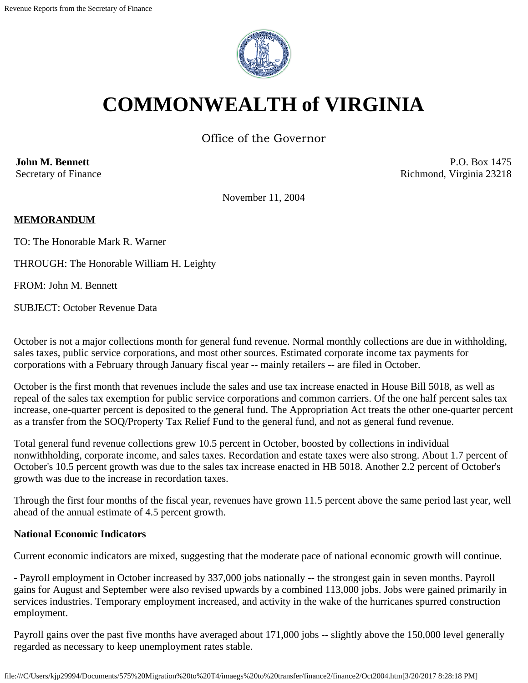

# **COMMONWEALTH of VIRGINIA**

Office of the Governor

**John M. Bennett** Secretary of Finance

P.O. Box 1475 Richmond, Virginia 23218

November 11, 2004

#### **MEMORANDUM**

TO: The Honorable Mark R. Warner

THROUGH: The Honorable William H. Leighty

FROM: John M. Bennett

SUBJECT: October Revenue Data

October is not a major collections month for general fund revenue. Normal monthly collections are due in withholding, sales taxes, public service corporations, and most other sources. Estimated corporate income tax payments for corporations with a February through January fiscal year -- mainly retailers -- are filed in October.

October is the first month that revenues include the sales and use tax increase enacted in House Bill 5018, as well as repeal of the sales tax exemption for public service corporations and common carriers. Of the one half percent sales tax increase, one-quarter percent is deposited to the general fund. The Appropriation Act treats the other one-quarter percent as a transfer from the SOQ/Property Tax Relief Fund to the general fund, and not as general fund revenue.

Total general fund revenue collections grew 10.5 percent in October, boosted by collections in individual nonwithholding, corporate income, and sales taxes. Recordation and estate taxes were also strong. About 1.7 percent of October's 10.5 percent growth was due to the sales tax increase enacted in HB 5018. Another 2.2 percent of October's growth was due to the increase in recordation taxes.

Through the first four months of the fiscal year, revenues have grown 11.5 percent above the same period last year, well ahead of the annual estimate of 4.5 percent growth.

#### **National Economic Indicators**

Current economic indicators are mixed, suggesting that the moderate pace of national economic growth will continue.

- Payroll employment in October increased by 337,000 jobs nationally -- the strongest gain in seven months. Payroll gains for August and September were also revised upwards by a combined 113,000 jobs. Jobs were gained primarily in services industries. Temporary employment increased, and activity in the wake of the hurricanes spurred construction employment.

Payroll gains over the past five months have averaged about 171,000 jobs -- slightly above the 150,000 level generally regarded as necessary to keep unemployment rates stable.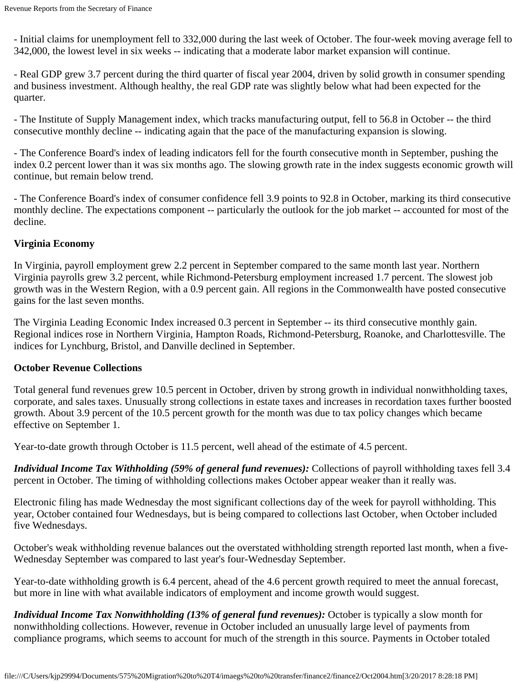- Initial claims for unemployment fell to 332,000 during the last week of October. The four-week moving average fell to 342,000, the lowest level in six weeks -- indicating that a moderate labor market expansion will continue.

- Real GDP grew 3.7 percent during the third quarter of fiscal year 2004, driven by solid growth in consumer spending and business investment. Although healthy, the real GDP rate was slightly below what had been expected for the quarter.

- The Institute of Supply Management index, which tracks manufacturing output, fell to 56.8 in October -- the third consecutive monthly decline -- indicating again that the pace of the manufacturing expansion is slowing.

- The Conference Board's index of leading indicators fell for the fourth consecutive month in September, pushing the index 0.2 percent lower than it was six months ago. The slowing growth rate in the index suggests economic growth will continue, but remain below trend.

- The Conference Board's index of consumer confidence fell 3.9 points to 92.8 in October, marking its third consecutive monthly decline. The expectations component -- particularly the outlook for the job market -- accounted for most of the decline.

#### **Virginia Economy**

In Virginia, payroll employment grew 2.2 percent in September compared to the same month last year. Northern Virginia payrolls grew 3.2 percent, while Richmond-Petersburg employment increased 1.7 percent. The slowest job growth was in the Western Region, with a 0.9 percent gain. All regions in the Commonwealth have posted consecutive gains for the last seven months.

The Virginia Leading Economic Index increased 0.3 percent in September -- its third consecutive monthly gain. Regional indices rose in Northern Virginia, Hampton Roads, Richmond-Petersburg, Roanoke, and Charlottesville. The indices for Lynchburg, Bristol, and Danville declined in September.

#### **October Revenue Collections**

Total general fund revenues grew 10.5 percent in October, driven by strong growth in individual nonwithholding taxes, corporate, and sales taxes. Unusually strong collections in estate taxes and increases in recordation taxes further boosted growth. About 3.9 percent of the 10.5 percent growth for the month was due to tax policy changes which became effective on September 1.

Year-to-date growth through October is 11.5 percent, well ahead of the estimate of 4.5 percent.

*Individual Income Tax Withholding (59% of general fund revenues):* Collections of payroll withholding taxes fell 3.4 percent in October. The timing of withholding collections makes October appear weaker than it really was.

Electronic filing has made Wednesday the most significant collections day of the week for payroll withholding. This year, October contained four Wednesdays, but is being compared to collections last October, when October included five Wednesdays.

October's weak withholding revenue balances out the overstated withholding strength reported last month, when a five-Wednesday September was compared to last year's four-Wednesday September.

Year-to-date withholding growth is 6.4 percent, ahead of the 4.6 percent growth required to meet the annual forecast, but more in line with what available indicators of employment and income growth would suggest.

*Individual Income Tax Nonwithholding (13% of general fund revenues):* October is typically a slow month for nonwithholding collections. However, revenue in October included an unusually large level of payments from compliance programs, which seems to account for much of the strength in this source. Payments in October totaled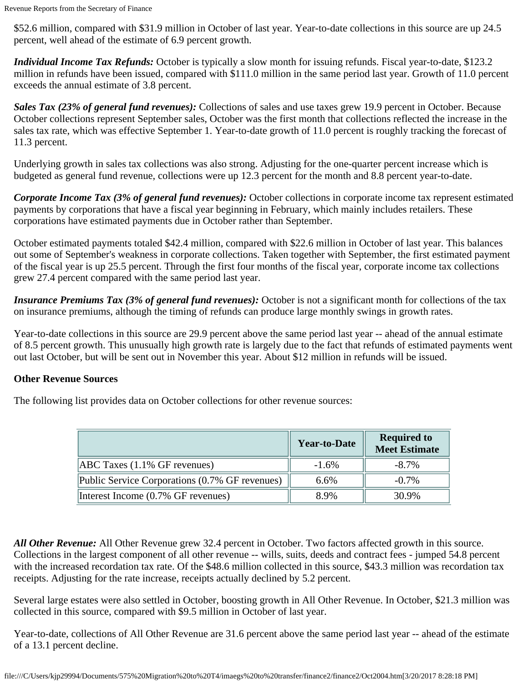\$52.6 million, compared with \$31.9 million in October of last year. Year-to-date collections in this source are up 24.5 percent, well ahead of the estimate of 6.9 percent growth.

*Individual Income Tax Refunds:* October is typically a slow month for issuing refunds. Fiscal year-to-date, \$123.2 million in refunds have been issued, compared with \$111.0 million in the same period last year. Growth of 11.0 percent exceeds the annual estimate of 3.8 percent.

*Sales Tax (23% of general fund revenues):* Collections of sales and use taxes grew 19.9 percent in October. Because October collections represent September sales, October was the first month that collections reflected the increase in the sales tax rate, which was effective September 1. Year-to-date growth of 11.0 percent is roughly tracking the forecast of 11.3 percent.

Underlying growth in sales tax collections was also strong. Adjusting for the one-quarter percent increase which is budgeted as general fund revenue, collections were up 12.3 percent for the month and 8.8 percent year-to-date.

*Corporate Income Tax (3% of general fund revenues):* October collections in corporate income tax represent estimated payments by corporations that have a fiscal year beginning in February, which mainly includes retailers. These corporations have estimated payments due in October rather than September.

October estimated payments totaled \$42.4 million, compared with \$22.6 million in October of last year. This balances out some of September's weakness in corporate collections. Taken together with September, the first estimated payment of the fiscal year is up 25.5 percent. Through the first four months of the fiscal year, corporate income tax collections grew 27.4 percent compared with the same period last year.

*Insurance Premiums Tax (3% of general fund revenues):* October is not a significant month for collections of the tax on insurance premiums, although the timing of refunds can produce large monthly swings in growth rates.

Year-to-date collections in this source are 29.9 percent above the same period last year -- ahead of the annual estimate of 8.5 percent growth. This unusually high growth rate is largely due to the fact that refunds of estimated payments went out last October, but will be sent out in November this year. About \$12 million in refunds will be issued.

## **Other Revenue Sources**

The following list provides data on October collections for other revenue sources:

|                                                | <b>Year-to-Date</b> | <b>Required to</b><br><b>Meet Estimate</b> |
|------------------------------------------------|---------------------|--------------------------------------------|
| $[ABC$ Taxes $(1.1\%$ GF revenues)             | $-1.6\%$            | $-8.7\%$                                   |
| Public Service Corporations (0.7% GF revenues) | 6.6%                | $-0.7\%$                                   |
| Interest Income (0.7% GF revenues)             | 8.9%                | 30.9%                                      |

*All Other Revenue:* All Other Revenue grew 32.4 percent in October. Two factors affected growth in this source. Collections in the largest component of all other revenue -- wills, suits, deeds and contract fees - jumped 54.8 percent with the increased recordation tax rate. Of the \$48.6 million collected in this source, \$43.3 million was recordation tax receipts. Adjusting for the rate increase, receipts actually declined by 5.2 percent.

Several large estates were also settled in October, boosting growth in All Other Revenue. In October, \$21.3 million was collected in this source, compared with \$9.5 million in October of last year.

Year-to-date, collections of All Other Revenue are 31.6 percent above the same period last year -- ahead of the estimate of a 13.1 percent decline.